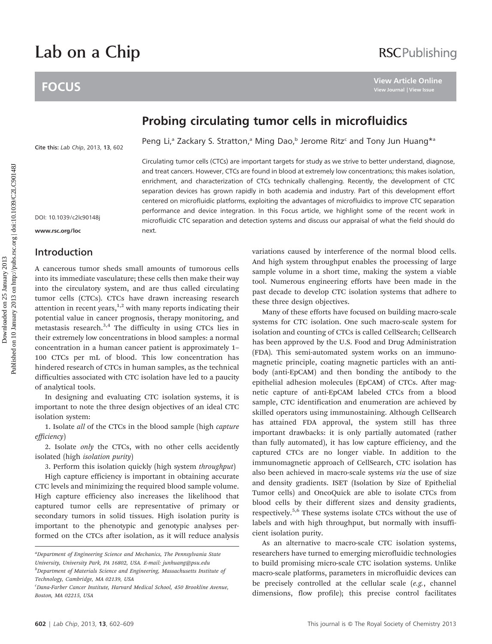# Lab on a Chip

# **FOCUS**

# Probing circulating tumor cells in microfluidics

[Cite this:](http://dx.doi.org/10.1039/c2lc90148j) Lab Chip, 2013, 13, 602

Peng Li,<sup>a</sup> Zackary S. Stratton,<sup>a</sup> Ming Dao,<sup>b</sup> Jerome Ritz<sup>c</sup> and Tony Jun Huang\*a

Circulating tumor cells (CTCs) are important targets for study as we strive to better understand, diagnose, and treat cancers. However, CTCs are found in blood at extremely low concentrations; this makes isolation, enrichment, and characterization of CTCs technically challenging. Recently, the development of CTC separation devices has grown rapidly in both academia and industry. Part of this development effort centered on microfluidic platforms, exploiting the advantages of microfluidics to improve CTC separation performance and device integration. In this Focus article, we highlight some of the recent work in microfluidic CTC separation and detection systems and discuss our appraisal of what the field should do

DOI: 10.1039/c2lc90148j www.rsc.org/loc

## Introduction

A cancerous tumor sheds small amounts of tumorous cells into its immediate vasculature; these cells then make their way into the circulatory system, and are thus called circulating tumor cells (CTCs). CTCs have drawn increasing research attention in recent years, $1,2$  with many reports indicating their potential value in cancer prognosis, therapy monitoring, and metastasis research.3,4 The difficulty in using CTCs lies in their extremely low concentrations in blood samples: a normal concentration in a human cancer patient is approximately 1– 100 CTCs per mL of blood. This low concentration has hindered research of CTCs in human samples, as the technical difficulties associated with CTC isolation have led to a paucity of analytical tools. **Pocuse Focus**<br> **Probing circulating tumor cells in microfluidics**<br>
Circulating the bis is able and  $\frac{1}{2}$ <br>
Circulating tumor cells (TC) are important targets for study as we state to be<br>
and treat cancers However, CCs

next.

In designing and evaluating CTC isolation systems, it is important to note the three design objectives of an ideal CTC isolation system:

1. Isolate all of the CTCs in the blood sample (high capture efficiency)

2. Isolate only the CTCs, with no other cells accidently isolated (high isolation purity)

3. Perform this isolation quickly (high system throughput)

High capture efficiency is important in obtaining accurate CTC levels and minimizing the required blood sample volume. High capture efficiency also increases the likelihood that captured tumor cells are representative of primary or secondary tumors in solid tissues. High isolation purity is important to the phenotypic and genotypic analyses performed on the CTCs after isolation, as it will reduce analysis

variations caused by interference of the normal blood cells. And high system throughput enables the processing of large sample volume in a short time, making the system a viable tool. Numerous engineering efforts have been made in the past decade to develop CTC isolation systems that adhere to these three design objectives.

Many of these efforts have focused on building macro-scale systems for CTC isolation. One such macro-scale system for isolation and counting of CTCs is called CellSearch; CellSearch has been approved by the U.S. Food and Drug Administration (FDA). This semi-automated system works on an immunomagnetic principle, coating magnetic particles with an antibody (anti-EpCAM) and then bonding the antibody to the epithelial adhesion molecules (EpCAM) of CTCs. After magnetic capture of anti-EpCAM labeled CTCs from a blood sample, CTC identification and enumeration are achieved by skilled operators using immunostaining. Although CellSearch has attained FDA approval, the system still has three important drawbacks: it is only partially automated (rather than fully automated), it has low capture efficiency, and the captured CTCs are no longer viable. In addition to the immunomagnetic approach of CellSearch, CTC isolation has also been achieved in macro-scale systems via the use of size and density gradients. ISET (Isolation by Size of Epithelial Tumor cells) and OncoQuick are able to isolate CTCs from blood cells by their different sizes and density gradients, respectively.5,6 These systems isolate CTCs without the use of labels and with high throughput, but normally with insufficient isolation purity.

As an alternative to macro-scale CTC isolation systems, researchers have turned to emerging microfluidic technologies to build promising micro-scale CTC isolation systems. Unlike macro-scale platforms, parameters in microfluidic devices can be precisely controlled at the cellular scale (e.g., channel dimensions, flow profile); this precise control facilitates

<sup>&</sup>lt;sup>a</sup>Department of Engineering Science and Mechanics, The Pennsylvania State University, University Park, PA 16802, USA. E-mail: junhuang@psu.edu <sup>b</sup>Department of Materials Science and Engineering, Massachusetts Institute of Technology, Cambridge, MA 02139, USA

c Dana-Farber Cancer Institute, Harvard Medical School, 450 Brookline Avenue, Boston, MA 02215, USA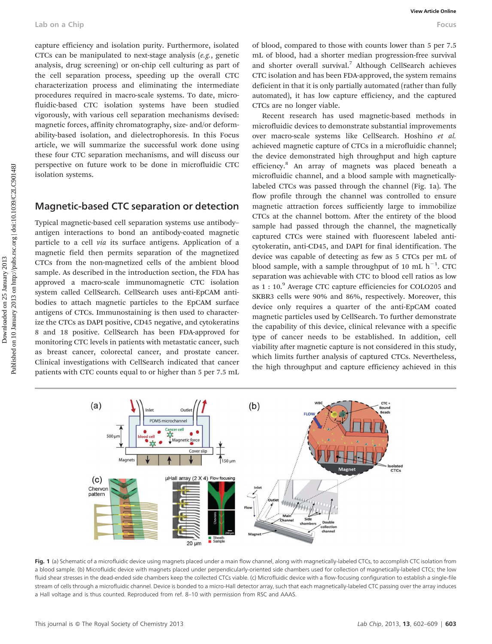capture efficiency and isolation purity. Furthermore, isolated CTCs can be manipulated to next-stage analysis (e.g., genetic analysis, drug screening) or on-chip cell culturing as part of the cell separation process, speeding up the overall CTC characterization process and eliminating the intermediate procedures required in macro-scale systems. To date, microfluidic-based CTC isolation systems have been studied vigorously, with various cell separation mechanisms devised: magnetic forces, affinity chromatography, size- and/or deformability-based isolation, and dielectrophoresis. In this Focus article, we will summarize the successful work done using these four CTC separation mechanisms, and will discuss our perspective on future work to be done in microfluidic CTC isolation systems.

### Magnetic-based CTC separation or detection

Typical magnetic-based cell separation systems use antibody– antigen interactions to bond an antibody-coated magnetic particle to a cell via its surface antigens. Application of a magnetic field then permits separation of the magnetized CTCs from the non-magnetized cells of the ambient blood sample. As described in the introduction section, the FDA has approved a macro-scale immunomagnetic CTC isolation system called CellSearch. CellSearch uses anti-EpCAM antibodies to attach magnetic particles to the EpCAM surface antigens of CTCs. Immunostaining is then used to characterize the CTCs as DAPI positive, CD45 negative, and cytokeratins 8 and 18 positive. CellSearch has been FDA-approved for monitoring CTC levels in patients with metastatic cancer, such as breast cancer, colorectal cancer, and prostate cancer. Clinical investigations with CellSearch indicated that cancer patients with CTC counts equal to or higher than 5 per 7.5 mL of blood, compared to those with counts lower than 5 per 7.5 mL of blood, had a shorter median progression-free survival and shorter overall survival.<sup>7</sup> Although CellSearch achieves CTC isolation and has been FDA-approved, the system remains deficient in that it is only partially automated (rather than fully automated), it has low capture efficiency, and the captured CTCs are no longer viable.

Recent research has used magnetic-based methods in microfluidic devices to demonstrate substantial improvements over macro-scale systems like CellSearch. Hoshino et al. achieved magnetic capture of CTCs in a microfluidic channel; the device demonstrated high throughput and high capture efficiency.<sup>8</sup> An array of magnets was placed beneath a microfluidic channel, and a blood sample with magneticallylabeled CTCs was passed through the channel (Fig. 1a). The flow profile through the channel was controlled to ensure magnetic attraction forces sufficiently large to immobilize CTCs at the channel bottom. After the entirety of the blood sample had passed through the channel, the magnetically captured CTCs were stained with fluorescent labeled anticytokeratin, anti-CD45, and DAPI for final identification. The device was capable of detecting as few as 5 CTCs per mL of blood sample, with a sample throughput of 10 mL  $h^{-1}$ . CTC separation was achievable with CTC to blood cell ratios as low as 1 : 10.<sup>9</sup> Average CTC capture efficiencies for COLO205 and SKBR3 cells were 90% and 86%, respectively. Moreover, this device only requires a quarter of the anti-EpCAM coated magnetic particles used by CellSearch. To further demonstrate the capability of this device, clinical relevance with a specific type of cancer needs to be established. In addition, cell viability after magnetic capture is not considered in this study, which limits further analysis of captured CTCs. Nevertheless, the high throughput and capture efficiency achieved in this The the on a Chip compare effective particle constraine and the static constrained on the static constrained for the constrained on the static constrained in the static constrained in the static constrained in the static c



Fig. 1 (a) Schematic of a microfluidic device using magnets placed under a main flow channel, along with magnetically-labeled CTCs, to accomplish CTC isolation from a blood sample. (b) Microfluidic device with magnets placed under perpendicularly-oriented side chambers used for collection of magnetically-labeled CTCs; the low fluid shear stresses in the dead-ended side chambers keep the collected CTCs viable. (c) Microfluidic device with a flow-focusing configuration to establish a single-file stream of cells through a microfluidic channel. Device is bonded to a micro-Hall detector array, such that each magnetically-labeled CTC passing over the array induces a Hall voltage and is thus counted. Reproduced from ref. 8–10 with permission from RSC and AAAS.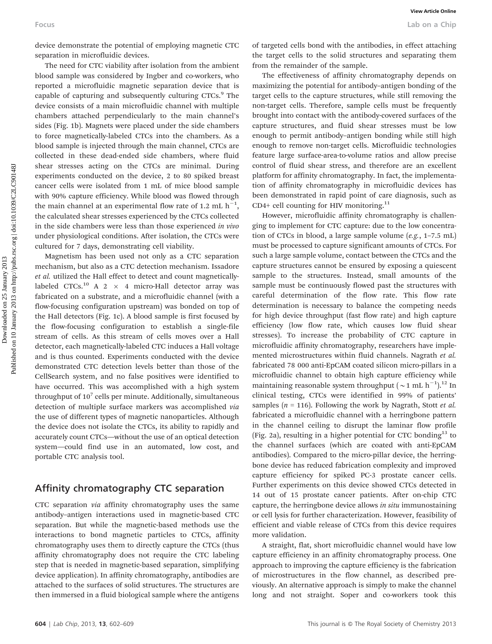device demonstrate the potential of employing magnetic CTC separation in microfluidic devices.

The need for CTC viability after isolation from the ambient blood sample was considered by Ingber and co-workers, who reported a microfluidic magnetic separation device that is capable of capturing and subsequently culturing CTCs.<sup>9</sup> The device consists of a main microfluidic channel with multiple chambers attached perpendicularly to the main channel's sides (Fig. 1b). Magnets were placed under the side chambers to force magnetically-labeled CTCs into the chambers. As a blood sample is injected through the main channel, CTCs are collected in these dead-ended side chambers, where fluid shear stresses acting on the CTCs are minimal. During experiments conducted on the device, 2 to 80 spiked breast cancer cells were isolated from 1 mL of mice blood sample with 90% capture efficiency. While blood was flowed through the main channel at an experimental flow rate of 1.2 mL  $h^{-1}$ , the calculated shear stresses experienced by the CTCs collected in the side chambers were less than those experienced in vivo under physiological conditions. After isolation, the CTCs were cultured for 7 days, demonstrating cell viability. Focus **(be** the potential of employing magnetic CTC and transportation in the consideration in the constrained on 25 January 2013 on 25 January 2013 on 25 January 2013 on the constrained on the constrained on the constrain

Magnetism has been used not only as a CTC separation mechanism, but also as a CTC detection mechanism. Issadore et al. utilized the Hall effect to detect and count magneticallylabeled CTCs.<sup>10</sup> A 2  $\times$  4 micro-Hall detector array was fabricated on a substrate, and a microfluidic channel (with a flow-focusing configuration upstream) was bonded on top of the Hall detectors (Fig. 1c). A blood sample is first focused by the flow-focusing configuration to establish a single-file stream of cells. As this stream of cells moves over a Hall detector, each magnetically-labeled CTC induces a Hall voltage and is thus counted. Experiments conducted with the device demonstrated CTC detection levels better than those of the CellSearch system, and no false positives were identified to have occurred. This was accomplished with a high system throughput of  $10<sup>7</sup>$  cells per minute. Additionally, simultaneous detection of multiple surface markers was accomplished via the use of different types of magnetic nanoparticles. Although the device does not isolate the CTCs, its ability to rapidly and accurately count CTCs—without the use of an optical detection system—could find use in an automated, low cost, and portable CTC analysis tool.

#### Affinity chromatography CTC separation

CTC separation via affinity chromatography uses the same antibody–antigen interactions used in magnetic-based CTC separation. But while the magnetic-based methods use the interactions to bond magnetic particles to CTCs, affinity chromatography uses them to directly capture the CTCs (thus affinity chromatography does not require the CTC labeling step that is needed in magnetic-based separation, simplifying device application). In affinity chromatography, antibodies are attached to the surfaces of solid structures. The structures are then immersed in a fluid biological sample where the antigens of targeted cells bond with the antibodies, in effect attaching the target cells to the solid structures and separating them from the remainder of the sample.

The effectiveness of affinity chromatography depends on maximizing the potential for antibody–antigen bonding of the target cells to the capture structures, while still removing the non-target cells. Therefore, sample cells must be frequently brought into contact with the antibody-covered surfaces of the capture structures, and fluid shear stresses must be low enough to permit antibody–antigen bonding while still high enough to remove non-target cells. Microfluidic technologies feature large surface-area-to-volume ratios and allow precise control of fluid shear stress, and therefore are an excellent platform for affinity chromatography. In fact, the implementation of affinity chromatography in microfluidic devices has been demonstrated in rapid point of care diagnosis, such as CD4+ cell counting for HIV monitoring.<sup>11</sup>

However, microfluidic affinity chromatography is challenging to implement for CTC capture: due to the low concentration of CTCs in blood, a large sample volume  $(e.g., 1-7.5 \text{ mL})$ must be processed to capture significant amounts of CTCs. For such a large sample volume, contact between the CTCs and the capture structures cannot be ensured by exposing a quiescent sample to the structures. Instead, small amounts of the sample must be continuously flowed past the structures with careful determination of the flow rate. This flow rate determination is necessary to balance the competing needs for high device throughput (fast flow rate) and high capture efficiency (low flow rate, which causes low fluid shear stresses). To increase the probability of CTC capture in microfluidic affinity chromatography, researchers have implemented microstructures within fluid channels. Nagrath et al. fabricated 78 000 anti-EpCAM coated silicon micro-pillars in a microfluidic channel to obtain high capture efficiency while maintaining reasonable system throughput ( $\sim$  1 mL h<sup>-1</sup>).<sup>12</sup> In clinical testing, CTCs were identified in 99% of patients' samples ( $n = 116$ ). Following the work by Nagrath, Stott *et al.* fabricated a microfluidic channel with a herringbone pattern in the channel ceiling to disrupt the laminar flow profile (Fig. 2a), resulting in a higher potential for CTC bonding<sup>13</sup> to the channel surfaces (which are coated with anti-EpCAM antibodies). Compared to the micro-pillar device, the herringbone device has reduced fabrication complexity and improved capture efficiency for spiked PC-3 prostate cancer cells. Further experiments on this device showed CTCs detected in 14 out of 15 prostate cancer patients. After on-chip CTC capture, the herringbone device allows in situ immunostaining or cell lysis for further characterization. However, feasibility of efficient and viable release of CTCs from this device requires more validation.

A straight, flat, short microfluidic channel would have low capture efficiency in an affinity chromatography process. One approach to improving the capture efficiency is the fabrication of microstructures in the flow channel, as described previously. An alternative approach is simply to make the channel long and not straight. Soper and co-workers took this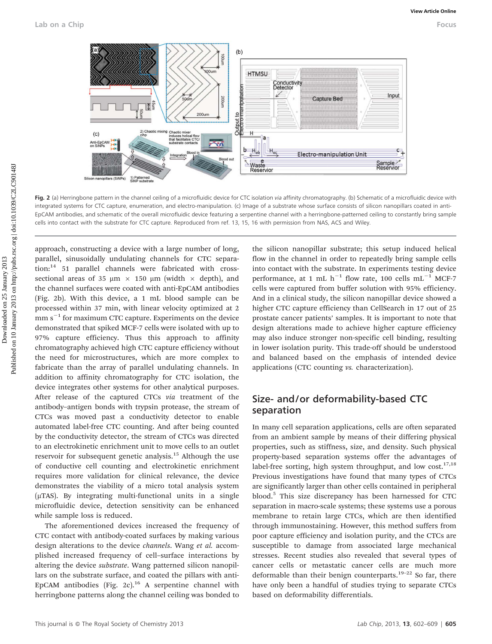

Fig. 2 (a) Herringbone pattern in the channel ceiling of a microfluidic device for CTC isolation via affinity chromatography. (b) Schematic of a microfluidic device with integrated systems for CTC capture, enumeration, and electro-manipulation. (c) Image of a substrate whose surface consists of silicon nanopillars coated in anti-EpCAM antibodies, and schematic of the overall microfluidic device featuring a serpentine channel with a herringbone-patterned ceiling to constantly bring sample cells into contact with the substrate for CTC capture. Reproduced from ref. 13, 15, 16 with permission from NAS, ACS and Wiley.

approach, constructing a device with a large number of long, parallel, sinusoidally undulating channels for CTC separation:<sup>14</sup> 51 parallel channels were fabricated with crosssectional areas of 35  $\mu$ m  $\times$  150  $\mu$ m (width  $\times$  depth), and the channel surfaces were coated with anti-EpCAM antibodies (Fig. 2b). With this device, a 1 mL blood sample can be processed within 37 min, with linear velocity optimized at 2  $mm s^{-1}$  for maximum CTC capture. Experiments on the device demonstrated that spiked MCF-7 cells were isolated with up to 97% capture efficiency. Thus this approach to affinity chromatography achieved high CTC capture efficiency without the need for microstructures, which are more complex to fabricate than the array of parallel undulating channels. In addition to affinity chromatography for CTC isolation, the device integrates other systems for other analytical purposes. After release of the captured CTCs via treatment of the antibody–antigen bonds with trypsin protease, the stream of CTCs was moved past a conductivity detector to enable automated label-free CTC counting. And after being counted by the conductivity detector, the stream of CTCs was directed to an electrokinetic enrichment unit to move cells to an outlet reservoir for subsequent genetic analysis.<sup>15</sup> Although the use of conductive cell counting and electrokinetic enrichment requires more validation for clinical relevance, the device demonstrates the viability of a micro total analysis system  $(\mu$ TAS). By integrating multi-functional units in a single microfluidic device, detection sensitivity can be enhanced while sample loss is reduced.

The aforementioned devices increased the frequency of CTC contact with antibody-coated surfaces by making various design alterations to the device *channels*. Wang et al. accomplished increased frequency of cell–surface interactions by altering the device substrate. Wang patterned silicon nanopillars on the substrate surface, and coated the pillars with anti-EpCAM antibodies (Fig. 2c). $16$  A serpentine channel with herringbone patterns along the channel ceiling was bonded to the silicon nanopillar substrate; this setup induced helical flow in the channel in order to repeatedly bring sample cells into contact with the substrate. In experiments testing device performance, at 1 mL  $h^{-1}$  flow rate, 100 cells mL<sup>-1</sup> MCF-7 cells were captured from buffer solution with 95% efficiency. And in a clinical study, the silicon nanopillar device showed a higher CTC capture efficiency than CellSearch in 17 out of 25 prostate cancer patients' samples. It is important to note that design alterations made to achieve higher capture efficiency may also induce stronger non-specific cell binding, resulting in lower isolation purity. This trade-off should be understood and balanced based on the emphasis of intended device applications (CTC counting vs. characterization).

# Size- and/or deformability-based CTC separation

In many cell separation applications, cells are often separated from an ambient sample by means of their differing physical properties, such as stiffness, size, and density. Such physical property-based separation systems offer the advantages of label-free sorting, high system throughput, and low cost. $17,18$ Previous investigations have found that many types of CTCs are significantly larger than other cells contained in peripheral blood.<sup>5</sup> This size discrepancy has been harnessed for CTC separation in macro-scale systems; these systems use a porous membrane to retain large CTCs, which are then identified through immunostaining. However, this method suffers from poor capture efficiency and isolation purity, and the CTCs are susceptible to damage from associated large mechanical stresses. Recent studies also revealed that several types of cancer cells or metastatic cancer cells are much more deformable than their benign counterparts.<sup>19–22</sup> So far, there have only been a handful of studies trying to separate CTCs based on deformability differentials.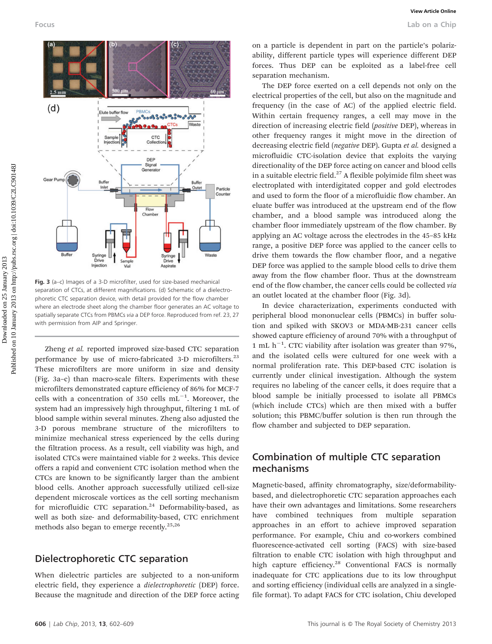

Fig. 3 (a-c) Images of a 3-D microfilter, used for size-based mechanical separation of CTCs, at different magnifications. (d) Schematic of a dielectrophoretic CTC separation device, with detail provided for the flow chamber where an electrode sheet along the chamber floor generates an AC voltage to spatially separate CTCs from PBMCs via a DEP force. Reproduced from ref. 23, 27 with permission from AIP and Springer.

Zheng et al. reported improved size-based CTC separation performance by use of micro-fabricated 3-D microfilters.<sup>23</sup> These microfilters are more uniform in size and density (Fig. 3a–c) than macro-scale filters. Experiments with these microfilters demonstrated capture efficiency of 86% for MCF-7 cells with a concentration of 350 cells  $mL^{-1}$ . Moreover, the system had an impressively high throughput, filtering 1 mL of blood sample within several minutes. Zheng also adjusted the 3-D porous membrane structure of the microfilters to minimize mechanical stress experienced by the cells during the filtration process. As a result, cell viability was high, and isolated CTCs were maintained viable for 2 weeks. This device offers a rapid and convenient CTC isolation method when the CTCs are known to be significantly larger than the ambient blood cells. Another approach successfully utilized cell-size dependent microscale vortices as the cell sorting mechanism for microfluidic CTC separation.<sup>24</sup> Deformability-based, as well as both size- and deformability-based, CTC enrichment methods also began to emerge recently.25,26

#### Dielectrophoretic CTC separation

When dielectric particles are subjected to a non-uniform electric field, they experience a dielectrophoretic (DEP) force. Because the magnitude and direction of the DEP force acting on a particle is dependent in part on the particle's polarizability, different particle types will experience different DEP forces. Thus DEP can be exploited as a label-free cell separation mechanism.

The DEP force exerted on a cell depends not only on the electrical properties of the cell, but also on the magnitude and frequency (in the case of AC) of the applied electric field. Within certain frequency ranges, a cell may move in the direction of increasing electric field (positive DEP), whereas in other frequency ranges it might move in the direction of decreasing electric field (negative DEP). Gupta et al. designed a microfluidic CTC-isolation device that exploits the varying directionality of the DEP force acting on cancer and blood cells in a suitable electric field.<sup>27</sup> A flexible polyimide film sheet was electroplated with interdigitated copper and gold electrodes and used to form the floor of a microfluidic flow chamber. An eluate buffer was introduced at the upstream end of the flow chamber, and a blood sample was introduced along the chamber floor immediately upstream of the flow chamber. By applying an AC voltage across the electrodes in the 45–85 kHz range, a positive DEP force was applied to the cancer cells to drive them towards the flow chamber floor, and a negative DEP force was applied to the sample blood cells to drive them away from the flow chamber floor. Thus at the downstream end of the flow chamber, the cancer cells could be collected via an outlet located at the chamber floor (Fig. 3d).

In device characterization, experiments conducted with peripheral blood mononuclear cells (PBMCs) in buffer solution and spiked with SKOV3 or MDA-MB-231 cancer cells showed capture efficiency of around 70% with a throughput of 1 mL  $h^{-1}$ . CTC viability after isolation was greater than 97%, and the isolated cells were cultured for one week with a normal proliferation rate. This DEP-based CTC isolation is currently under clinical investigation. Although the system requires no labeling of the cancer cells, it does require that a blood sample be initially processed to isolate all PBMCs (which include CTCs) which are then mixed with a buffer solution; this PBMC/buffer solution is then run through the flow chamber and subjected to DEP separation.

## Combination of multiple CTC separation mechanisms

Magnetic-based, affinity chromatography, size/deformabilitybased, and dielectrophoretic CTC separation approaches each have their own advantages and limitations. Some researchers have combined techniques from multiple separation approaches in an effort to achieve improved separation performance. For example, Chiu and co-workers combined fluorescence-activated cell sorting (FACS) with size-based filtration to enable CTC isolation with high throughput and high capture efficiency.<sup>28</sup> Conventional FACS is normally inadequate for CTC applications due to its low throughput and sorting efficiency (individual cells are analyzed in a singlefile format). To adapt FACS for CTC isolation, Chiu developed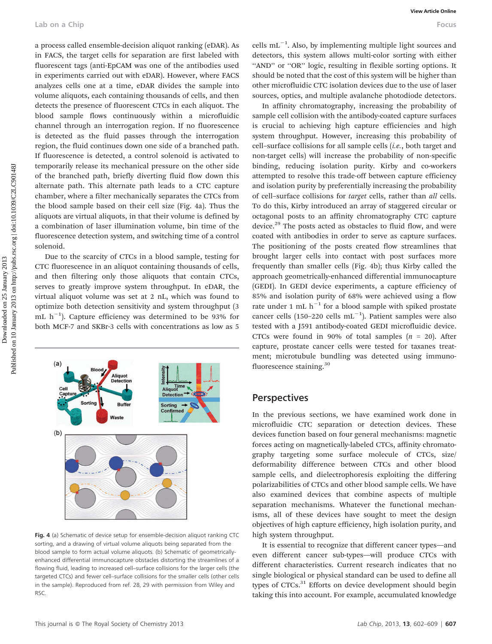a process called ensemble-decision aliquot ranking (eDAR). As in FACS, the target cells for separation are first labeled with fluorescent tags (anti-EpCAM was one of the antibodies used in experiments carried out with eDAR). However, where FACS analyzes cells one at a time, eDAR divides the sample into volume aliquots, each containing thousands of cells, and then detects the presence of fluorescent CTCs in each aliquot. The blood sample flows continuously within a microfluidic channel through an interrogation region. If no fluorescence is detected as the fluid passes through the interrogation region, the fluid continues down one side of a branched path. If fluorescence is detected, a control solenoid is activated to temporarily release its mechanical pressure on the other side of the branched path, briefly diverting fluid flow down this alternate path. This alternate path leads to a CTC capture chamber, where a filter mechanically separates the CTCs from the blood sample based on their cell size (Fig. 4a). Thus the aliquots are virtual aliquots, in that their volume is defined by a combination of laser illumination volume, bin time of the fluorescence detection system, and switching time of a control solenoid.

Due to the scarcity of CTCs in a blood sample, testing for CTC fluorescence in an aliquot containing thousands of cells, and then filtering only those aliquots that contain CTCs, serves to greatly improve system throughput. In eDAR, the virtual aliquot volume was set at 2 nL, which was found to optimize both detection sensitivity and system throughput (3 mL  $h^{-1}$ ). Capture efficiency was determined to be 93% for both MCF-7 and SKBr-3 cells with concentrations as low as 5



Fig. 4 (a) Schematic of device setup for ensemble-decision aliquot ranking CTC sorting, and a drawing of virtual volume aliquots being separated from the blood sample to form actual volume aliquots. (b) Schematic of geometricallyenhanced differential immunocapture obstacles distorting the streamlines of a flowing fluid, leading to increased cell–surface collisions for the larger cells (the targeted CTCs) and fewer cell–surface collisions for the smaller cells (other cells in the sample). Reproduced from ref. 28, 29 with permission from Wiley and **RSC** 

cells  $mL^{-1}$ . Also, by implementing multiple light sources and detectors, this system allows multi-color sorting with either "AND" or "OR" logic, resulting in flexible sorting options. It should be noted that the cost of this system will be higher than other microfluidic CTC isolation devices due to the use of laser sources, optics, and multiple avalanche photodiode detectors.

In affinity chromatography, increasing the probability of sample cell collision with the antibody-coated capture surfaces is crucial to achieving high capture efficiencies and high system throughput. However, increasing this probability of cell–surface collisions for all sample cells (i.e., both target and non-target cells) will increase the probability of non-specific binding, reducing isolation purity. Kirby and co-workers attempted to resolve this trade-off between capture efficiency and isolation purity by preferentially increasing the probability of cell–surface collisions for target cells, rather than all cells. To do this, Kirby introduced an array of staggered circular or octagonal posts to an affinity chromatography CTC capture device.<sup>29</sup> The posts acted as obstacles to fluid flow, and were coated with antibodies in order to serve as capture surfaces. The positioning of the posts created flow streamlines that brought larger cells into contact with post surfaces more frequently than smaller cells (Fig. 4b); thus Kirby called the approach geometrically-enhanced differential immunocapture (GEDI). In GEDI device experiments, a capture efficiency of 85% and isolation purity of 68% were achieved using a flow rate under 1 mL  $h^{-1}$  for a blood sample with spiked prostate cancer cells (150-220 cells  $mL^{-1}$ ). Patient samples were also tested with a J591 antibody-coated GEDI microfluidic device. CTCs were found in 90% of total samples  $(n = 20)$ . After capture, prostate cancer cells were tested for taxanes treatment; microtubule bundling was detected using immunofluorescence staining.<sup>30</sup> Lab on a Chip spaces celled exembedecidon aliqued ranking (eftA8), As cells ent.<sup>1</sup>. Abo, by implementing mutiple light surves and in NiX-<br>focal contract celled for separation are fits table<br>del with the celectros, this sy

#### **Perspectives**

In the previous sections, we have examined work done in microfluidic CTC separation or detection devices. These devices function based on four general mechanisms: magnetic forces acting on magnetically-labeled CTCs, affinity chromatography targeting some surface molecule of CTCs, size/ deformability difference between CTCs and other blood sample cells, and dielectrophoresis exploiting the differing polarizabilities of CTCs and other blood sample cells. We have also examined devices that combine aspects of multiple separation mechanisms. Whatever the functional mechanisms, all of these devices have sought to meet the design objectives of high capture efficiency, high isolation purity, and high system throughput.

It is essential to recognize that different cancer types—and even different cancer sub-types—will produce CTCs with different characteristics. Current research indicates that no single biological or physical standard can be used to define all types of CTCs.<sup>31</sup> Efforts on device development should begin taking this into account. For example, accumulated knowledge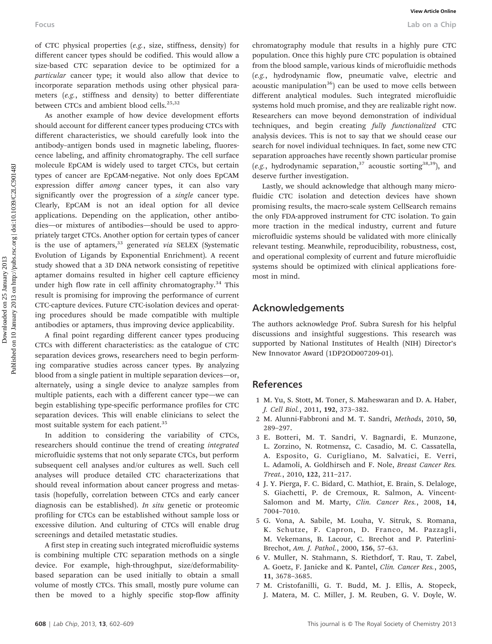of CTC physical properties (e.g., size, stiffness, density) for different cancer types should be codified. This would allow a size-based CTC separation device to be optimized for a particular cancer type; it would also allow that device to incorporate separation methods using other physical parameters (e.g., stiffness and density) to better differentiate

between CTCs and ambient blood cells. $25,32$ As another example of how device development efforts should account for different cancer types producing CTCs with different characteristics, we should carefully look into the antibody–antigen bonds used in magnetic labeling, fluorescence labeling, and affinity chromatography. The cell surface molecule EpCAM is widely used to target CTCs, but certain types of cancer are EpCAM-negative. Not only does EpCAM expression differ among cancer types, it can also vary significantly over the progression of a single cancer type. Clearly, EpCAM is not an ideal option for all device applications. Depending on the application, other antibodies—or mixtures of antibodies—should be used to appropriately target CTCs. Another option for certain types of cancer is the use of aptamers, $33$  generated via SELEX (Systematic Evolution of Ligands by Exponential Enrichment). A recent study showed that a 3D DNA network consisting of repetitive aptamer domains resulted in higher cell capture efficiency under high flow rate in cell affinity chromatography.<sup>34</sup> This result is promising for improving the performance of current CTC-capture devices. Future CTC-isolation devices and operating procedures should be made compatible with multiple antibodies or aptamers, thus improving device applicability. Focus **the conditional of the conditional conditional conditional conditional conditional conditional in the conditional conditional conditional conditional conditional conditional conditional conditional conditional condi** 

A final point regarding different cancer types producing CTCs with different characteristics: as the catalogue of CTC separation devices grows, researchers need to begin performing comparative studies across cancer types. By analyzing blood from a single patient in multiple separation devices—or, alternately, using a single device to analyze samples from multiple patients, each with a different cancer type—we can begin establishing type-specific performance profiles for CTC separation devices. This will enable clinicians to select the most suitable system for each patient.<sup>35</sup>

In addition to considering the variability of CTCs, researchers should continue the trend of creating integrated microfluidic systems that not only separate CTCs, but perform subsequent cell analyses and/or cultures as well. Such cell analyses will produce detailed CTC characterizations that should reveal information about cancer progress and metastasis (hopefully, correlation between CTCs and early cancer diagnosis can be established). In situ genetic or proteomic profiling for CTCs can be established without sample loss or excessive dilution. And culturing of CTCs will enable drug screenings and detailed metastatic studies.

A first step in creating such integrated microfluidic systems is combining multiple CTC separation methods on a single device. For example, high-throughput, size/deformabilitybased separation can be used initially to obtain a small volume of mostly CTCs. This small, mostly pure volume can then be moved to a highly specific stop-flow affinity chromatography module that results in a highly pure CTC population. Once this highly pure CTC population is obtained from the blood sample, various kinds of microfluidic methods (e.g., hydrodynamic flow, pneumatic valve, electric and acoustic manipulation $36$ ) can be used to move cells between different analytical modules. Such integrated microfluidic systems hold much promise, and they are realizable right now. Researchers can move beyond demonstration of individual techniques, and begin creating fully functionalized CTC analysis devices. This is not to say that we should cease our search for novel individual techniques. In fact, some new CTC separation approaches have recently shown particular promise (e.g., hydrodynamic separation,  $37$  acoustic sorting  $38,39$ ), and deserve further investigation.

Lastly, we should acknowledge that although many microfluidic CTC isolation and detection devices have shown promising results, the macro-scale system CellSearch remains the only FDA-approved instrument for CTC isolation. To gain more traction in the medical industry, current and future microfluidic systems should be validated with more clinically relevant testing. Meanwhile, reproducibility, robustness, cost, and operational complexity of current and future microfluidic systems should be optimized with clinical applications foremost in mind.

#### Acknowledgements

The authors acknowledge Prof. Subra Suresh for his helpful discussions and insightful suggestions. This research was supported by National Institutes of Health (NIH) Director's New Innovator Award (1DP2OD007209-01).

#### References

- 1 M. Yu, S. Stott, M. Toner, S. Maheswaran and D. A. Haber, J. Cell Biol., 2011, 192, 373–382.
- 2 M. Alunni-Fabbroni and M. T. Sandri, Methods, 2010, 50, 289–297.
- 3 E. Botteri, M. T. Sandri, V. Bagnardi, E. Munzone, L. Zorzino, N. Rotmensz, C. Casadio, M. C. Cassatella, A. Esposito, G. Curigliano, M. Salvatici, E. Verri, L. Adamoli, A. Goldhirsch and F. Nole, Breast Cancer Res. Treat., 2010, 122, 211–217.
- 4 J. Y. Pierga, F. C. Bidard, C. Mathiot, E. Brain, S. Delaloge, S. Giachetti, P. de Cremoux, R. Salmon, A. Vincent-Salomon and M. Marty, Clin. Cancer Res., 2008, 14, 7004–7010.
- 5 G. Vona, A. Sabile, M. Louha, V. Sitruk, S. Romana, K. Schutze, F. Capron, D. Franco, M. Pazzagli, M. Vekemans, B. Lacour, C. Brechot and P. Paterlini-Brechot, Am. J. Pathol., 2000, 156, 57–63.
- 6 V. Muller, N. Stahmann, S. Riethdorf, T. Rau, T. Zabel, A. Goetz, F. Janicke and K. Pantel, Clin. Cancer Res., 2005, 11, 3678–3685.
- 7 M. Cristofanilli, G. T. Budd, M. J. Ellis, A. Stopeck, J. Matera, M. C. Miller, J. M. Reuben, G. V. Doyle, W.